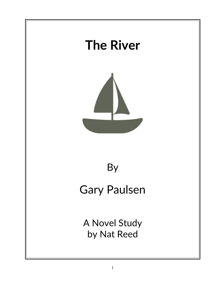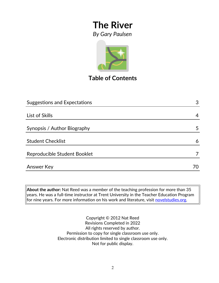

## **Table of Contents**

| <b>Suggestions and Expectations</b> | 3  |
|-------------------------------------|----|
|                                     |    |
| List of Skills                      | 4  |
| Synopsis / Author Biography         | 5  |
| <b>Student Checklist</b>            | 6  |
| Reproducible Student Booklet        |    |
| <b>Answer Key</b>                   | 70 |

**About the author:** Nat Reed was a member of the teaching profession for more than 35 years. He was a full-time instructor at Trent University in the Teacher Education Program for nine years. For more information on his work and literature, visit [novelstudies.org.](http://www.novelstudies.org/)

> Copyright © 2012 Nat Reed Revisions Completed in 2022 All rights reserved by author. Permission to copy for single classroom use only. Electronic distribution limited to single classroom use only. Not for public display.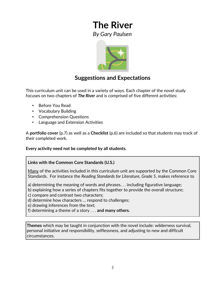

#### **Suggestions and Expectations**

This curriculum unit can be used in a variety of ways. Each chapter of the novel study focuses on two chapters of *The River* and is comprised of five different activities:

- Before You Read
- Vocabulary Building
- Comprehension Questions
- Language and Extension Activities

A **portfolio cover** (p.7) as well as a **Checklist** (p.6) are included so that students may track of their completed work.

**Every activity need not be completed by all students.** 

#### **Links with the Common Core Standards (U.S.)**

Many of the activities included in this curriculum unit are supported by the Common Core Standards. For instance the *Reading Standards for Literature, Grade 5*, makes reference to

a) determining the meaning of words and phrases. . . including figurative language;

b) explaining how a series of chapters fits together to provide the overall structure;

c) compare and contrast two characters;

d) determine how characters … respond to challenges;

e) drawing inferences from the text;

f) determining a theme of a story . . . **and many others.**

**Themes** which may be taught in conjunction with the novel include: wilderness survival, personal initiative and responsibility, selflessness, and adjusting to new and difficult circumstances.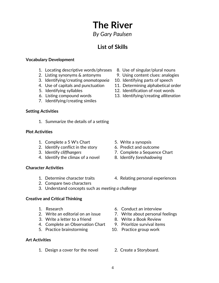# *By Gary Paulsen*

**The River**

#### **List of Skills**

#### **Vocabulary Development**

- 1. Locating descriptive words/phrases 8. Use of singular/plural nouns
- 2. Listing synonyms & antonyms 9. Using content clues: analogies
- 3. Identifying/creating *onomatopoeia* 10. Identifying parts of speech
- 4. Use of capitals and punctuation 11. Determining alphabetical order
- 
- 
- 7. Identifying/creating similes

#### **Setting Activities**

1. Summarize the details of a setting

#### **Plot Activities**

- 1. Complete a 5 W's Chart 5. Write a synopsis
- 2. Identify conflict in the story 6. Predict and outcome
- 
- 4. Identify the climax of a novel 8. Identify *foreshadowing*

#### **Character Activities**

- 
- 2. Compare two characters
- 
- 
- 3. Identify *cliffhangers* 7. Complete a Sequence Chart
	-
- 1. Determine character traits 4. Relating personal experiences
- 3. Understand concepts such as *meeting a challenge*

#### **Creative and Critical Thinking**

- 
- 
- 3. Write a letter to a friend 8. Write a Book Review
- 4. Complete an Observation Chart 9. Prioritize survival items
- 5. Practice brainstorming 10. Practice group work

#### **Art Activities**

1. Design a cover for the novel 2. Create a Storyboard.

- 1. Research 6. Conduct an interview
- 2. Write an editorial on an issue 7. Write about personal feelings
	-
	-
	-
	-
- 
- 
- 
- 
- 5. Identifying syllables 12. Identification of root words
- 6. Listing compound words 13. Identifying/creating *alliteration*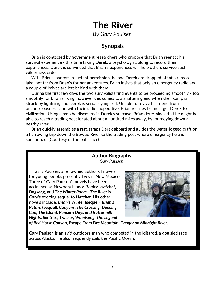#### **Synopsis**

 Brian is contacted by government researchers who propose that Brian reenact his survival experience - this time taking Derek, a psychologist, along to record their experiences. Derek is convinced that Brian's experiences will help others survive such wilderness ordeals.

 With Brian's parents' reluctant permission, he and Derek are dropped off at a remote lake, not far from Brian's former adventures. Brian insists that only an emergency radio and a couple of knives are left behind with them.

 During the first few days the two survivalists find events to be proceeding smoothly - too smoothly for Brian's liking, however this comes to a shattering end when their camp is struck by lightning and Derek is seriously injured. Unable to revive his friend from unconsciousness, and with their radio inoperative, Brian realizes he must get Derek to civilization. Using a map he discovers in Derek's suitcase, Brian determines that he might be able to reach a trading post located about a hundred miles away, by journeying down a nearby river.

 Brian quickly assembles a raft, straps Derek aboard and guides the water-logged craft on a harrowing trip down the Bowtie River to the trading post where emergency help is summoned. (Courtesy of the publisher)

#### **Author Biography** *Gary Paulsen*

 Gary Paulsen, a renowned author of novels for young people, presently lives in New Mexico. Three of Gary Paulsen's novels have been acclaimed as Newbery Honor Books: *Hatchet, Dogsong***,** and *The Winter Room*. *The River* is Gary's exciting sequel to *Hatchet*. His other novels include: *Brian's Winter* **(sequel)***, Brian's Return* **(sequel)***, Canyons, The Crossing, Dancing Carl, The Island, Popcorn Days and Buttermilk Nights, Sentries, Tracker, Woodsong, The Legend*



*of Red Horse Canyon, Escape From Fire Mountain, Danger on Midnight River.*

Gary Paulsen is an avid outdoors-man who competed in the Iditarod, a dog sled race across Alaska. He also frequently sails the Pacific Ocean.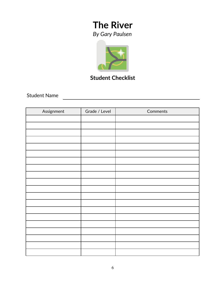

## **Student Checklist**

Student Name

| Assignment | Grade / Level | Comments |
|------------|---------------|----------|
|            |               |          |
|            |               |          |
|            |               |          |
|            |               |          |
|            |               |          |
|            |               |          |
|            |               |          |
|            |               |          |
|            |               |          |
|            |               |          |
|            |               |          |
|            |               |          |
|            |               |          |
|            |               |          |
|            |               |          |
|            |               |          |
|            |               |          |
|            |               |          |
|            |               |          |
|            |               |          |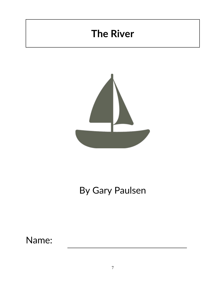# **The River**



# By Gary Paulsen

Name: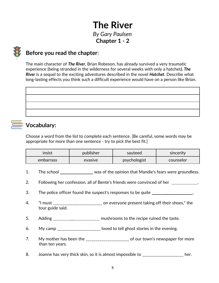## **The River** *By Gary Paulsen* **Chapter 1 - 2**

#### **Before you read the chapter**:

The main character of *The River*, Brian Robeson, has already survived a very traumatic experience (being stranded in the wilderness for several weeks with only a hatchet*). The River* is a sequel to the exciting adventures described in the novel *Hatchet*. Describe what long-lasting effects you think such a difficult experience would have on a person like Brian.

## **Vocabulary:**

Choose a word from the list to complete each sentence. [Be careful, some words may be appropriate for more than one sentence - try to pick the best fit.]

| insist    | publisher | sauteed      | sincerity |
|-----------|-----------|--------------|-----------|
| embarrass | evasive   | psychologist | counselor |

- 1. The school \_\_\_\_\_\_\_\_\_\_\_\_\_\_\_ was of the opinion that Mandie's fears were groundless.
- 2. Following her confession, all of Bente's friends were convinced of her \_\_\_\_\_\_\_\_\_\_.
- 3. The police officer found the suspect's responses to be quite \_\_\_\_\_\_\_\_\_\_\_\_\_\_\_\_.
- 4. "I must \_\_\_\_\_\_\_\_\_\_\_\_\_\_\_\_\_\_\_\_\_\_\_\_ on everyone present taking off their shoes," the tour guide said.
- 5. Adding and mushrooms to the recipe ruined the taste.
- 6. My camp \_\_\_\_\_\_\_\_\_\_\_\_\_\_\_\_\_\_\_\_ loved to tell ghost stories in the evening.
- 7. My mother has been the \_\_\_\_\_\_\_\_\_\_\_\_\_\_\_\_\_\_\_\_\_\_ of our town's newspaper for more than ten years.
- 8. Joanne has very thick skin, so it is almost impossible to \_\_\_\_\_\_\_\_\_\_\_\_\_\_\_\_\_\_\_\_ her.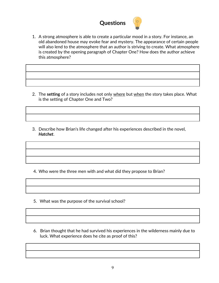

1. A strong atmosphere is able to create a particular mood in a story. For instance, an old abandoned house may evoke fear and mystery. The appearance of certain people will also lend to the atmosphere that an author is striving to create. What atmosphere is created by the opening paragraph of Chapter One? How does the author achieve this atmosphere?

- 2. The **setting** of a story includes not only where but when the story takes place. What is the setting of Chapter One and Two?
- 3. Describe how Brian's life changed after his experiences described in the novel, *Hatchet*.

4. Who were the three men with and what did they propose to Brian?

- 5. What was the purpose of the survival school?
- 6. Brian thought that he had survived his experiences in the wilderness mainly due to luck. What experience does he cite as proof of this?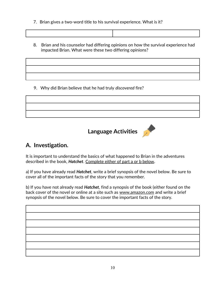- 7. Brian gives a two-word title to his survival experience. What is it?
- 8. Brian and his counselor had differing opinions on how the survival experience had impacted Brian. What were these two differing opinions?

9. Why did Brian believe that he had truly *discovered* fire?



## **Language Activities**



## **A. Investigation.**

It is important to understand the basics of what happened to Brian in the adventures described in the book, *Hatchet*. Complete either of part a or b below**.**

a) If you have already read *Hatchet*, write a brief synopsis of the novel below. Be sure to cover all of the important facts of the story that you remember.

b) If you have not already read *Hatchet*, find a synopsis of the book (either found on the back cover of the novel or online at a site such as www.amazon.com and write a brief synopsis of the novel below. Be sure to cover the important facts of the story.

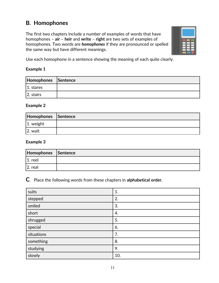## **B***.* **Homophones**

The first two chapters include a number of examples of words that have homophones – **air** – **heir** and **write** – **right** are two sets of examples of homophones. Two words are *homophones* if they are pronounced or spelled the same way but have different meanings.



Use each homophone in a sentence showing the meaning of each quite clearly.

#### **Example 1**

| Homophones Sentence |  |
|---------------------|--|
| $ 1.$ stares        |  |
| $ 2.$ stairs        |  |

#### **Example 2**

| Homophones Sentence |  |
|---------------------|--|
| $ 1.$ weight        |  |
| 12. wait            |  |

#### **Example 3**

| Homophones Sentence |  |
|---------------------|--|
| reel                |  |
| 2. real             |  |

**C**. Place the following words from these chapters in **alphabetical order**.

| suits      | 1.  |
|------------|-----|
| stepped    | 2.  |
| smiled     | 3.  |
| short      | 4.  |
| shrugged   | 5.  |
| special    | 6.  |
| situations | 7.  |
| something  | 8.  |
| studying   | 9.  |
| slowly     | 10. |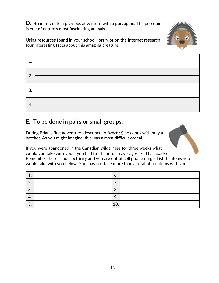**D.** Brian refers to a previous adventure with a **porcupine.** The porcupine is one of nature's most fascinating animals.



Using resources found in your school library or on the Internet research four interesting facts about this amazing creature.

| -1 |  |
|----|--|
| 2. |  |
| 3. |  |
| 4. |  |

#### **E. To be done in pairs or small groups.**

During Brian's first adventure (described in *Hatchet*) he copes with only a hatchet. As you might imagine, this was a most difficult ordeal.

If you were abandoned in the Canadian wilderness for three weeks what would you take with you if you had to fit it into an average-sized backpack? Remember there is no electricity and you are out of cell phone range. List the items you would take with you below. You may not take more than a total of ten items with you.

| ᅩ.                    | O.                            |  |
|-----------------------|-------------------------------|--|
| $\Omega$<br><u>L.</u> | –<br>$\cdot$                  |  |
| $\Omega$<br>J.        | 8.                            |  |
| 4.                    | $\mathbf Q$<br>$\prime \cdot$ |  |
| 5.                    | 10.                           |  |